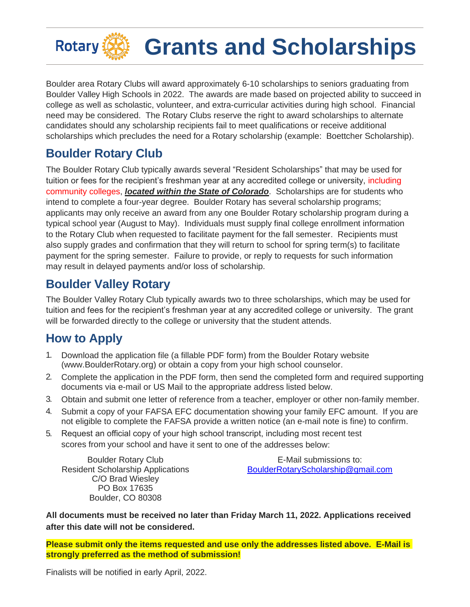

Boulder area Rotary Clubs will award approximately 6-10 scholarships to seniors graduating from Boulder Valley High Schools in 2022. The awards are made based on projected ability to succeed in college as well as scholastic, volunteer, and extra-curricular activities during high school. Financial need may be considered. The Rotary Clubs reserve the right to award scholarships to alternate candidates should any scholarship recipients fail to meet qualifications or receive additional scholarships which precludes the need for a Rotary scholarship (example: Boettcher Scholarship).

## **Boulder Rotary Club**

The Boulder Rotary Club typically awards several "Resident Scholarships" that may be used for tuition or fees for the recipient's freshman year at any accredited college or university, including community colleges, *located within the State of Colorado*. Scholarships are for students who intend to complete a four-year degree. Boulder Rotary has several scholarship programs; applicants may only receive an award from any one Boulder Rotary scholarship program during a typical school year (August to May). Individuals must supply final college enrollment information to the Rotary Club when requested to facilitate payment for the fall semester. Recipients must also supply grades and confirmation that they will return to school for spring term(s) to facilitate payment for the spring semester. Failure to provide, or reply to requests for such information may result in delayed payments and/or loss of scholarship.

## **Boulder Valley Rotary**

The Boulder Valley Rotary Club typically awards two to three scholarships, which may be used for tuition and fees for the recipient's freshman year at any accredited college or university. The grant will be forwarded directly to the college or university that the student attends.

# **How to Apply**

- 1. Download the application file (a fillable PDF form) from the Boulder Rotary website (www.BoulderRotary.org) or obtain a copy from your high school counselor.
- 2. Complete the application in the PDF form, then send the completed form and required supporting documents via e-mail or US Mail to the appropriate address listed below.
- 3. Obtain and submit one letter of reference from a teacher, employer or other non-family member.
- 4. Submit a copy of your FAFSA EFC documentation showing your family EFC amount. If you are not eligible to complete the FAFSA provide a written notice (an e-mail note is fine) to confirm.
- 5. Request an official copy of your high school transcript, including most recent test scores from your school and have it sent to one of the addresses below:

Boulder Rotary Club Resident Scholarship Applications C/O Brad Wiesley PO Box 17635 Boulder, CO 80308

E-Mail submissions to: [BoulderRotaryScholarship@gmail.com](mailto:BoulderRotaryScholarship@gmail.com)

**All documents must be received no later than Friday March 11, 2022. Applications received after this date will not be considered.**

**Please submit only the items requested and use only the addresses listed above. E-Mail is strongly preferred as the method of submission!**

Finalists will be notified in early April, 2022.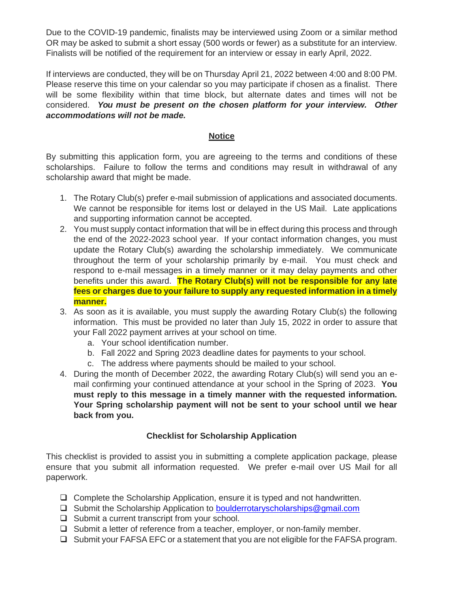Due to the COVID-19 pandemic, finalists may be interviewed using Zoom or a similar method OR may be asked to submit a short essay (500 words or fewer) as a substitute for an interview. Finalists will be notified of the requirement for an interview or essay in early April, 2022.

If interviews are conducted, they will be on Thursday April 21, 2022 between 4:00 and 8:00 PM. Please reserve this time on your calendar so you may participate if chosen as a finalist. There will be some flexibility within that time block, but alternate dates and times will not be considered. *You must be present on the chosen platform for your interview. Other accommodations will not be made.*

### **Notice**

By submitting this application form, you are agreeing to the terms and conditions of these scholarships. Failure to follow the terms and conditions may result in withdrawal of any scholarship award that might be made.

- 1. The Rotary Club(s) prefer e-mail submission of applications and associated documents. We cannot be responsible for items lost or delayed in the US Mail. Late applications and supporting information cannot be accepted.
- 2. You must supply contact information that will be in effect during this process and through the end of the 2022-2023 school year. If your contact information changes, you must update the Rotary Club(s) awarding the scholarship immediately. We communicate throughout the term of your scholarship primarily by e-mail. You must check and respond to e-mail messages in a timely manner or it may delay payments and other benefits under this award. **The Rotary Club(s) will not be responsible for any late fees or charges due to your failure to supply any requested information in a timely manner.**
- 3. As soon as it is available, you must supply the awarding Rotary Club(s) the following information. This must be provided no later than July 15, 2022 in order to assure that your Fall 2022 payment arrives at your school on time.
	- a. Your school identification number.
	- b. Fall 2022 and Spring 2023 deadline dates for payments to your school.
	- c. The address where payments should be mailed to your school.
- 4. During the month of December 2022, the awarding Rotary Club(s) will send you an email confirming your continued attendance at your school in the Spring of 2023. **You must reply to this message in a timely manner with the requested information. Your Spring scholarship payment will not be sent to your school until we hear back from you.**

## **Checklist for Scholarship Application**

This checklist is provided to assist you in submitting a complete application package, please ensure that you submit all information requested. We prefer e-mail over US Mail for all paperwork.

- ❑ Complete the Scholarship Application, ensure it is typed and not handwritten.
- ❑ Submit the Scholarship Application to [boulderrotaryscholarships@gmail.com](mailto:boulderrotaryscholarships@gmail.com)
- ❑ Submit a current transcript from your school.
- ❑ Submit a letter of reference from a teacher, employer, or non-family member.
- ❑ Submit your FAFSA EFC or a statement that you are not eligible for the FAFSA program.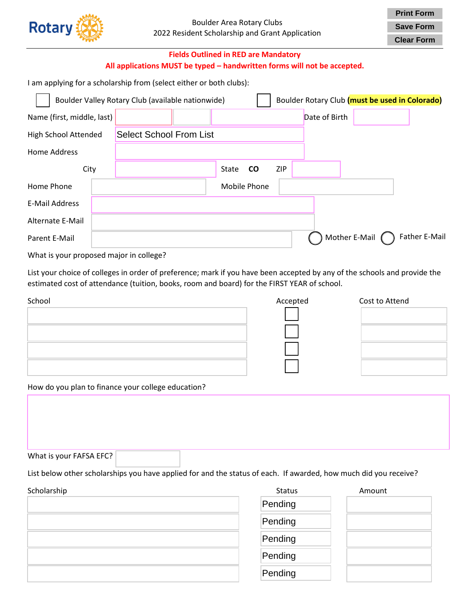

**Clear Form**

### **Fields Outlined in RED are Mandatory All applications MUST be typed – handwritten forms will not be accepted.**

I am applying for a scholarship from (select either or both clubs):

|                            | Boulder Valley Rotary Club (available nationwide) |                                |  |       |              | Boulder Rotary Club (must be used in Colorado) |               |               |               |
|----------------------------|---------------------------------------------------|--------------------------------|--|-------|--------------|------------------------------------------------|---------------|---------------|---------------|
| Name (first, middle, last) |                                                   |                                |  |       |              |                                                | Date of Birth |               |               |
| High School Attended       |                                                   | <b>Select School From List</b> |  |       |              |                                                |               |               |               |
| <b>Home Address</b>        |                                                   |                                |  |       |              |                                                |               |               |               |
| City                       |                                                   |                                |  | State | <b>CO</b>    | ZIP                                            |               |               |               |
| Home Phone                 |                                                   |                                |  |       | Mobile Phone |                                                |               |               |               |
| E-Mail Address             |                                                   |                                |  |       |              |                                                |               |               |               |
| Alternate E-Mail           |                                                   |                                |  |       |              |                                                |               |               |               |
| Parent E-Mail              |                                                   |                                |  |       |              |                                                |               | Mother E-Mail | Father E-Mail |

What is your proposed major in college?

List your choice of colleges in order of preference; mark if you have been accepted by any of the schools and provide the estimated cost of attendance (tuition, books, room and board) for the FIRST YEAR of school.

| School | Accepted | Cost to Attend |
|--------|----------|----------------|
|        |          |                |
|        |          |                |
|        |          |                |
|        |          |                |

How do you plan to finance your college education?

What is your FAFSA EFC?

List below other scholarships you have applied for and the status of each. If awarded, how much did you receive?

| Scholarship | Status  | Amount |
|-------------|---------|--------|
|             | Pending |        |
|             | Pending |        |
|             | Pending |        |
|             | Pending |        |
|             | Pending |        |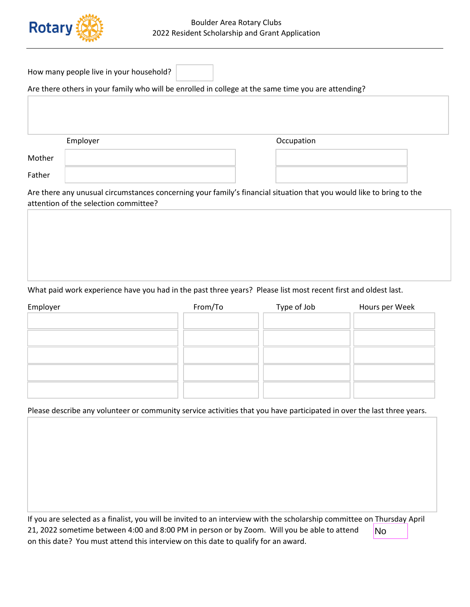

| How many people live in your household? |  |  |  |
|-----------------------------------------|--|--|--|
|-----------------------------------------|--|--|--|

#### Are there others in your family who will be enrolled in college at the same time you are attending?

Employer **Employer COLLEGAN CONTENTS OCCUPATION** 

Mother Father

Are there any unusual circumstances concerning your family's financial situation that you would like to bring to the attention of the selection committee?

#### What paid work experience have you had in the past three years? Please list most recent first and oldest last.

| Employer | From/To | Type of Job | Hours per Week |
|----------|---------|-------------|----------------|
|          |         |             |                |
|          |         |             |                |
|          |         |             |                |
|          |         |             |                |
|          |         |             |                |
|          |         |             |                |
|          |         |             |                |

#### Please describe any volunteer or community service activities that you have participated in over the last three years.

| If you are selected as a finalist, you will be invited to an interview with the scholarship committee on Thursday April |     |  |
|-------------------------------------------------------------------------------------------------------------------------|-----|--|
| 21, 2022 sometime between 4:00 and 8:00 PM in person or by Zoom. Will you be able to attend                             | lNo |  |
| on this date? You must attend this interview on this date to qualify for an award.                                      |     |  |